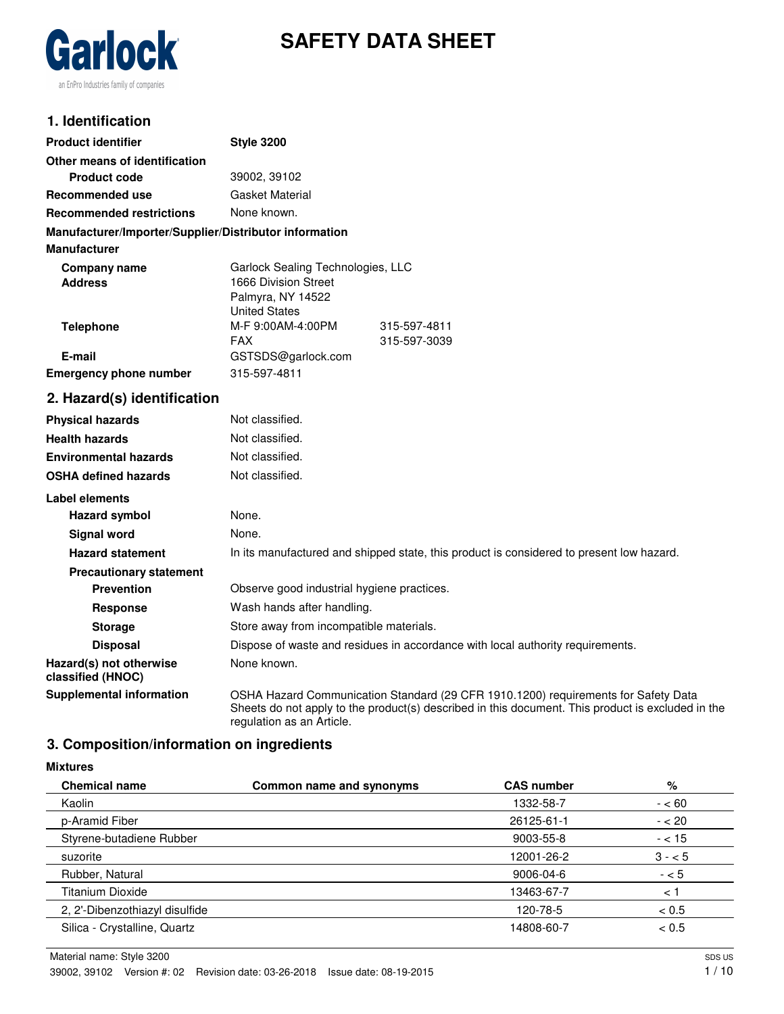

# **SAFETY DATA SHEET**

# **1. Identification**

| <b>Product identifier</b>                              | <b>Style 3200</b>                                                                                                                                                                                                    |  |
|--------------------------------------------------------|----------------------------------------------------------------------------------------------------------------------------------------------------------------------------------------------------------------------|--|
| Other means of identification                          |                                                                                                                                                                                                                      |  |
| <b>Product code</b>                                    | 39002, 39102                                                                                                                                                                                                         |  |
| Recommended use                                        | Gasket Material                                                                                                                                                                                                      |  |
| <b>Recommended restrictions</b>                        | None known.                                                                                                                                                                                                          |  |
| Manufacturer/Importer/Supplier/Distributor information |                                                                                                                                                                                                                      |  |
| <b>Manufacturer</b>                                    |                                                                                                                                                                                                                      |  |
| <b>Company name</b><br><b>Address</b>                  | Garlock Sealing Technologies, LLC<br>1666 Division Street<br>Palmyra, NY 14522<br><b>United States</b>                                                                                                               |  |
| <b>Telephone</b>                                       | M-F 9:00AM-4:00PM<br>315-597-4811                                                                                                                                                                                    |  |
| E-mail                                                 | <b>FAX</b><br>315-597-3039                                                                                                                                                                                           |  |
| <b>Emergency phone number</b>                          | GSTSDS@garlock.com<br>315-597-4811                                                                                                                                                                                   |  |
|                                                        |                                                                                                                                                                                                                      |  |
| 2. Hazard(s) identification                            |                                                                                                                                                                                                                      |  |
| <b>Physical hazards</b>                                | Not classified.                                                                                                                                                                                                      |  |
| <b>Health hazards</b>                                  | Not classified.                                                                                                                                                                                                      |  |
| <b>Environmental hazards</b>                           | Not classified.                                                                                                                                                                                                      |  |
| <b>OSHA defined hazards</b>                            | Not classified.                                                                                                                                                                                                      |  |
| <b>Label elements</b>                                  |                                                                                                                                                                                                                      |  |
| <b>Hazard symbol</b>                                   | None.                                                                                                                                                                                                                |  |
| <b>Signal word</b>                                     | None.                                                                                                                                                                                                                |  |
| <b>Hazard statement</b>                                | In its manufactured and shipped state, this product is considered to present low hazard.                                                                                                                             |  |
| <b>Precautionary statement</b>                         |                                                                                                                                                                                                                      |  |
| <b>Prevention</b>                                      | Observe good industrial hygiene practices.                                                                                                                                                                           |  |
| <b>Response</b>                                        | Wash hands after handling.                                                                                                                                                                                           |  |
| <b>Storage</b>                                         | Store away from incompatible materials.                                                                                                                                                                              |  |
| <b>Disposal</b>                                        | Dispose of waste and residues in accordance with local authority requirements.                                                                                                                                       |  |
| Hazard(s) not otherwise<br>classified (HNOC)           | None known.                                                                                                                                                                                                          |  |
| <b>Supplemental information</b>                        | OSHA Hazard Communication Standard (29 CFR 1910.1200) requirements for Safety Data<br>Sheets do not apply to the product(s) described in this document. This product is excluded in the<br>regulation as an Article. |  |

# **3. Composition/information on ingredients**

#### **Mixtures**

| <b>Chemical name</b>           | Common name and synonyms | <b>CAS number</b> | %        |
|--------------------------------|--------------------------|-------------------|----------|
| Kaolin                         |                          | 1332-58-7         | $- < 60$ |
| p-Aramid Fiber                 |                          | 26125-61-1        | $- < 20$ |
| Styrene-butadiene Rubber       |                          | 9003-55-8         | $- < 15$ |
| suzorite                       |                          | 12001-26-2        | $3 - 5$  |
| Rubber, Natural                |                          | 9006-04-6         | $- < 5$  |
| Titanium Dioxide               |                          | 13463-67-7        | $\leq$ 1 |
| 2, 2'-Dibenzothiazyl disulfide |                          | 120-78-5          | < 0.5    |
| Silica - Crystalline, Quartz   |                          | 14808-60-7        | < 0.5    |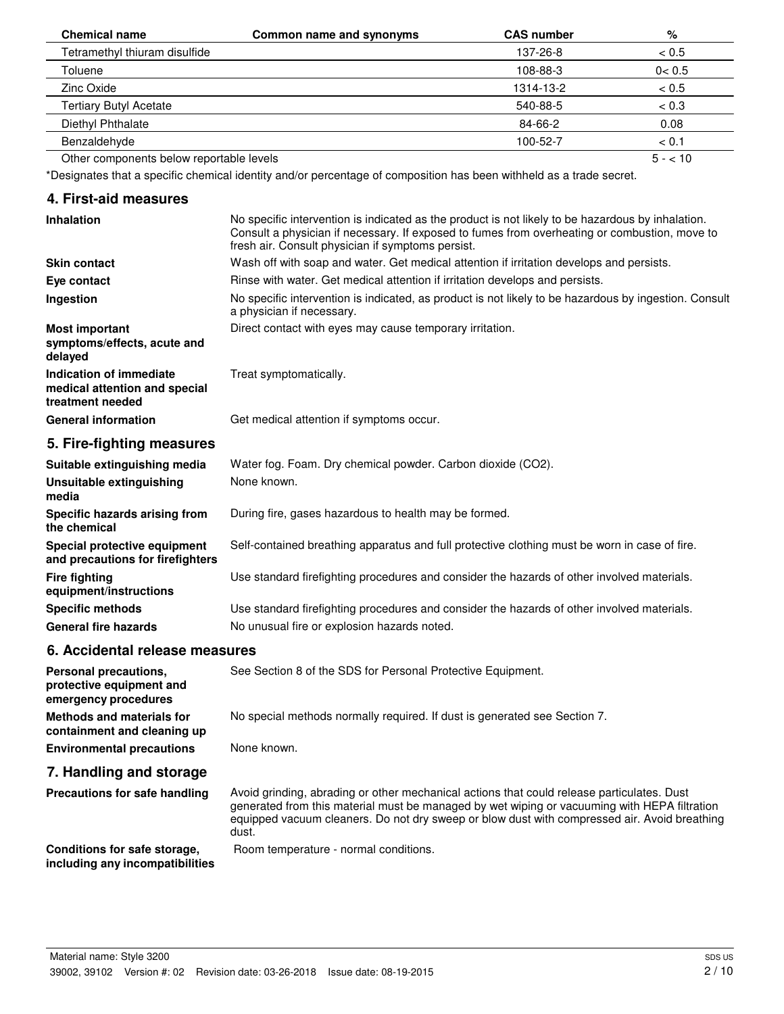| <b>Chemical name</b>                     | Common name and synonyms | <b>CAS number</b> | %        |
|------------------------------------------|--------------------------|-------------------|----------|
| Tetramethyl thiuram disulfide            |                          | 137-26-8          | < 0.5    |
| Toluene                                  |                          | 108-88-3          | 0 < 0.5  |
| Zinc Oxide                               |                          | 1314-13-2         | < 0.5    |
| <b>Tertiary Butyl Acetate</b>            |                          | 540-88-5          | < 0.3    |
| Diethyl Phthalate                        |                          | 84-66-2           | 0.08     |
| Benzaldehyde                             |                          | 100-52-7          | < 0.1    |
| Other components below reportable levels |                          |                   | $5 - 10$ |

\*Designates that a specific chemical identity and/or percentage of composition has been withheld as a trade secret.

### **4. First-aid measures**

| <b>Inhalation</b>                                                            | No specific intervention is indicated as the product is not likely to be hazardous by inhalation.<br>Consult a physician if necessary. If exposed to fumes from overheating or combustion, move to<br>fresh air. Consult physician if symptoms persist. |
|------------------------------------------------------------------------------|---------------------------------------------------------------------------------------------------------------------------------------------------------------------------------------------------------------------------------------------------------|
| <b>Skin contact</b>                                                          | Wash off with soap and water. Get medical attention if irritation develops and persists.                                                                                                                                                                |
| Eye contact                                                                  | Rinse with water. Get medical attention if irritation develops and persists.                                                                                                                                                                            |
| Ingestion                                                                    | No specific intervention is indicated, as product is not likely to be hazardous by ingestion. Consult<br>a physician if necessary.                                                                                                                      |
| <b>Most important</b><br>symptoms/effects, acute and<br>delayed              | Direct contact with eyes may cause temporary irritation.                                                                                                                                                                                                |
| Indication of immediate<br>medical attention and special<br>treatment needed | Treat symptomatically.                                                                                                                                                                                                                                  |
| <b>General information</b>                                                   | Get medical attention if symptoms occur.                                                                                                                                                                                                                |
| 5. Fire-fighting measures                                                    |                                                                                                                                                                                                                                                         |
| Suitable extinguishing media                                                 | Water fog. Foam. Dry chemical powder. Carbon dioxide (CO2).                                                                                                                                                                                             |
| Unsuitable extinguishing<br>media                                            | None known.                                                                                                                                                                                                                                             |
| Specific hazards arising from                                                | During fire, gases hazardous to health may be formed.                                                                                                                                                                                                   |

**the chemical Special protective equipment** Self-contained breathing apparatus and full protective clothing must be worn in case of fire. **and precautions for firefighters Fire fighting** Use standard firefighting procedures and consider the hazards of other involved materials. **equipment/instructions Specific methods** Use standard firefighting procedures and consider the hazards of other involved materials.

**6. Accidental release measures**

**including any incompatibilities**

General fire hazards **No unusual fire or explosion hazards noted.** 

**Personal precautions, See Section 8 of the SDS for Personal Protective Equipment. protective equipment and emergency procedures Methods and materials for** No special methods normally required. If dust is generated see Section 7. **containment and cleaning up Environmental precautions** None known. **7. Handling and storage** Avoid grinding, abrading or other mechanical actions that could release particulates. Dust generated from this material must be managed by wet wiping or vacuuming with HEPA filtration equipped vacuum cleaners. Do not dry sweep or blow dust with compressed air. Avoid breathing dust. **Precautions for safe handling Conditions for safe storage, Brand** Room temperature - normal conditions.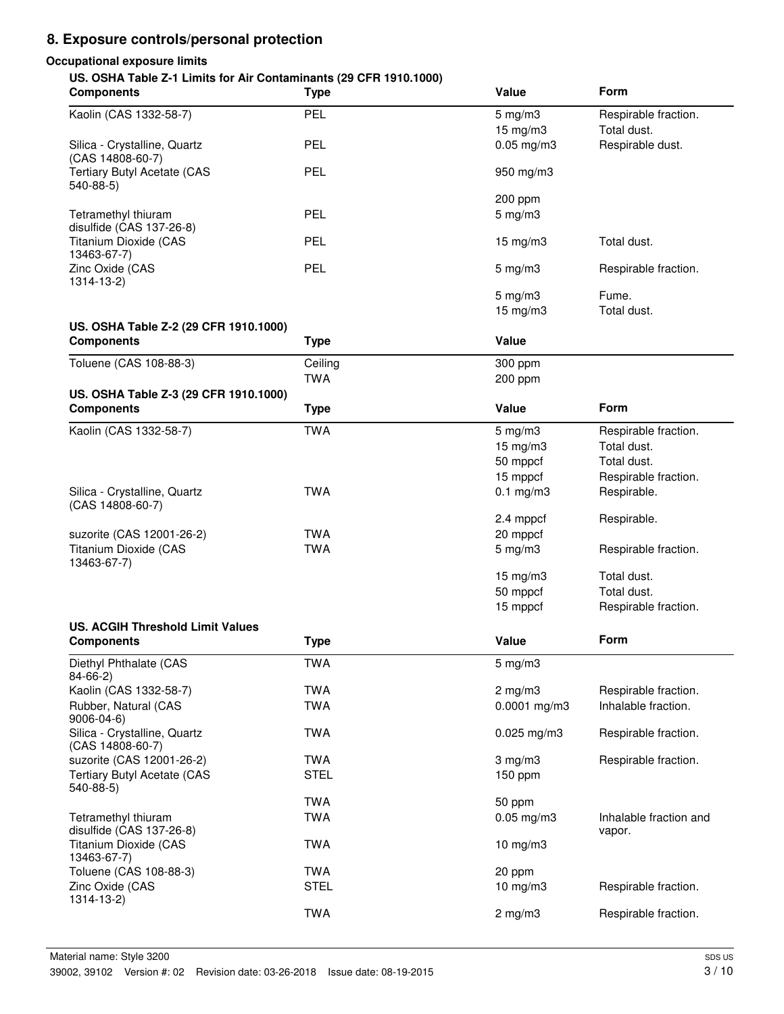# **8. Exposure controls/personal protection**

## **Occupational exposure limits**

### **US. OSHA Table Z-1 Limits for Air Contaminants (29 CFR 1910.1000)**

| <b>Components</b>                                | <b>Type</b> | Value              | Form                   |
|--------------------------------------------------|-------------|--------------------|------------------------|
| Kaolin (CAS 1332-58-7)                           | PEL         | $5$ mg/m $3$       | Respirable fraction.   |
|                                                  |             | 15 mg/m3           | Total dust.            |
| Silica - Crystalline, Quartz<br>(CAS 14808-60-7) | PEL         | $0.05$ mg/m $3$    | Respirable dust.       |
| <b>Tertiary Butyl Acetate (CAS</b><br>$540-88-5$ | PEL         | 950 mg/m3          |                        |
|                                                  |             | 200 ppm            |                        |
| Tetramethyl thiuram                              | PEL         | $5$ mg/m $3$       |                        |
| disulfide (CAS 137-26-8)                         |             |                    |                        |
| <b>Titanium Dioxide (CAS</b><br>13463-67-7)      | PEL         | $15$ mg/m $3$      | Total dust.            |
| Zinc Oxide (CAS<br>1314-13-2)                    | PEL         | $5$ mg/m $3$       | Respirable fraction.   |
|                                                  |             | $5 \text{ mg/m}$ 3 | Fume.                  |
|                                                  |             | $15 \text{ mg/m}$  | Total dust.            |
| US. OSHA Table Z-2 (29 CFR 1910.1000)            |             |                    |                        |
| <b>Components</b>                                | <b>Type</b> | Value              |                        |
| Toluene (CAS 108-88-3)                           | Ceiling     | 300 ppm            |                        |
|                                                  | <b>TWA</b>  | 200 ppm            |                        |
| US. OSHA Table Z-3 (29 CFR 1910.1000)            |             |                    |                        |
| <b>Components</b>                                | <b>Type</b> | Value              | Form                   |
| Kaolin (CAS 1332-58-7)                           | <b>TWA</b>  | $5$ mg/m $3$       | Respirable fraction.   |
|                                                  |             | 15 mg/m3           | Total dust.            |
|                                                  |             | 50 mppcf           | Total dust.            |
|                                                  |             | 15 mppcf           | Respirable fraction.   |
| Silica - Crystalline, Quartz                     | <b>TWA</b>  | $0.1$ mg/m $3$     | Respirable.            |
| (CAS 14808-60-7)                                 |             |                    |                        |
|                                                  |             | 2.4 mppcf          | Respirable.            |
| suzorite (CAS 12001-26-2)                        | <b>TWA</b>  | 20 mppcf           |                        |
| Titanium Dioxide (CAS<br>13463-67-7)             | <b>TWA</b>  | $5$ mg/m $3$       | Respirable fraction.   |
|                                                  |             | 15 mg/m3           | Total dust.            |
|                                                  |             | 50 mppcf           | Total dust.            |
|                                                  |             | 15 mppcf           | Respirable fraction.   |
| <b>US. ACGIH Threshold Limit Values</b>          |             |                    |                        |
| <b>Components</b>                                | <b>Type</b> | Value              | Form                   |
| Diethyl Phthalate (CAS<br>$84 - 66 - 2$          | <b>TWA</b>  | $5$ mg/m $3$       |                        |
| Kaolin (CAS 1332-58-7)                           | <b>TWA</b>  | $2$ mg/m $3$       | Respirable fraction.   |
| Rubber, Natural (CAS                             | <b>TWA</b>  | $0.0001$ mg/m3     | Inhalable fraction.    |
| $9006 - 04 - 6$                                  |             |                    |                        |
| Silica - Crystalline, Quartz<br>(CAS 14808-60-7) | <b>TWA</b>  | $0.025$ mg/m3      | Respirable fraction.   |
| suzorite (CAS 12001-26-2)                        | <b>TWA</b>  | $3$ mg/m $3$       | Respirable fraction.   |
| <b>Tertiary Butyl Acetate (CAS</b>               | <b>STEL</b> | 150 ppm            |                        |
| $540-88-5$                                       |             |                    |                        |
|                                                  | <b>TWA</b>  | 50 ppm             |                        |
| Tetramethyl thiuram<br>disulfide (CAS 137-26-8)  | <b>TWA</b>  | $0.05$ mg/m $3$    | Inhalable fraction and |
| Titanium Dioxide (CAS                            | <b>TWA</b>  | 10 mg/m3           | vapor.                 |
| 13463-67-7)                                      |             |                    |                        |
| Toluene (CAS 108-88-3)                           | <b>TWA</b>  | 20 ppm             |                        |
| Zinc Oxide (CAS                                  | <b>STEL</b> | 10 mg/m3           | Respirable fraction.   |
| 1314-13-2)                                       |             |                    |                        |
|                                                  | <b>TWA</b>  | $2$ mg/m $3$       | Respirable fraction.   |
|                                                  |             |                    |                        |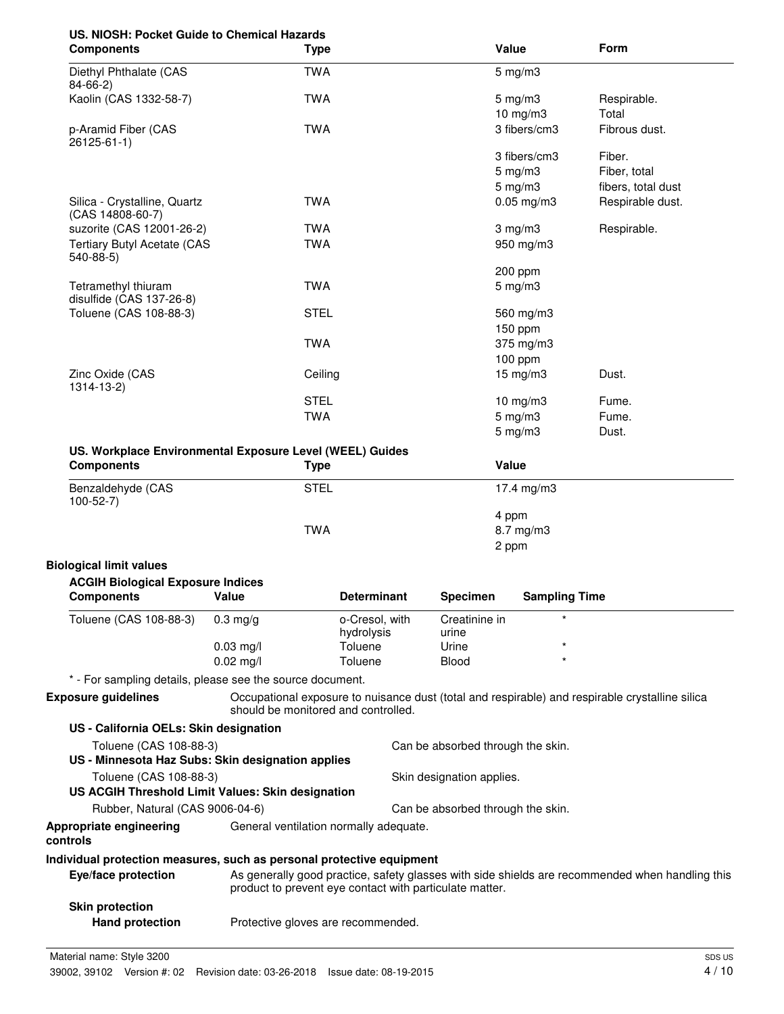# **US. NIOSH: Pocket Guide to Chemical Hazards**

| <b>Components</b>                                        | <b>Type</b> | Value                       | <b>Form</b>        |
|----------------------------------------------------------|-------------|-----------------------------|--------------------|
| Diethyl Phthalate (CAS<br>$84-66-2)$                     | <b>TWA</b>  | $5 \text{ mg/m}$ 3          |                    |
| Kaolin (CAS 1332-58-7)                                   | <b>TWA</b>  | $5 \text{ mg/m}$ 3          | Respirable.        |
|                                                          |             | 10 mg/m $3$                 | Total              |
| p-Aramid Fiber (CAS<br>26125-61-1)                       | <b>TWA</b>  | 3 fibers/cm3                | Fibrous dust.      |
|                                                          |             | 3 fibers/cm3                | Fiber.             |
|                                                          |             | $5$ mg/m $3$                | Fiber, total       |
|                                                          |             | $5 \text{ mg/m}$ 3          | fibers, total dust |
| Silica - Crystalline, Quartz<br>(CAS 14808-60-7)         | <b>TWA</b>  | $0.05$ mg/m $3$             | Respirable dust.   |
| suzorite (CAS 12001-26-2)                                | <b>TWA</b>  | $3 \text{ mg/m}$            | Respirable.        |
| <b>Tertiary Butyl Acetate (CAS</b><br>$540-88-5$         | <b>TWA</b>  | 950 mg/m3                   |                    |
|                                                          |             | 200 ppm                     |                    |
| Tetramethyl thiuram<br>disulfide (CAS 137-26-8)          | <b>TWA</b>  | $5 \text{ mg/m}$ 3          |                    |
| Toluene (CAS 108-88-3)                                   | <b>STEL</b> | 560 mg/m3<br>150 ppm        |                    |
|                                                          | <b>TWA</b>  | $375$ mg/m $3$<br>$100$ ppm |                    |
| Zinc Oxide (CAS<br>1314-13-2)                            | Ceiling     | $15 \text{ mg/m}$ 3         | Dust.              |
|                                                          | <b>STEL</b> | 10 mg/m3                    | Fume.              |
|                                                          | <b>TWA</b>  | $5 \text{ mg/m}$ 3          | Fume.              |
|                                                          |             | $5 \text{ mg/m}$ 3          | Dust.              |
| US. Workplace Environmental Exposure Level (WEEL) Guides |             |                             |                    |
| <b>Components</b>                                        | <b>Type</b> | Value                       |                    |
| Benzaldehyde (CAS                                        | <b>STEL</b> | 17.4 mg/m3                  |                    |

| DUIL QUUUTIYUU (UNU<br>$100 - 52 - 7$ | ◡੶┕┕       | - טווו <i>ש</i> ווו <del>ד</del> |
|---------------------------------------|------------|----------------------------------|
|                                       |            | 4 ppm                            |
|                                       | <b>TWA</b> | 8.7 mg/m3                        |
|                                       |            | 2 ppm                            |

## **Biological limit values**

| <b>ACGIH Biological Exposure Indices</b> |                     |                              |                        |                      |
|------------------------------------------|---------------------|------------------------------|------------------------|----------------------|
| <b>Components</b>                        | Value               | <b>Determinant</b>           | <b>Specimen</b>        | <b>Sampling Time</b> |
| Toluene (CAS 108-88-3)                   | $0.3 \text{ ma/a}$  | o-Cresol, with<br>hydrolysis | Creatinine in<br>urine | $\star$              |
|                                          | $0.03$ mg/l         | Toluene                      | Urine                  | $\star$              |
|                                          | $0.02 \text{ mg/l}$ | Toluene                      | <b>Blood</b>           | $\star$              |

\* - For sampling details, please see the source document.

**Exposure guidelines**

Occupational exposure to nuisance dust (total and respirable) and respirable crystalline silica should be monitored and controlled.

| US - California OELs: Skin designation            |                                        |                                   |
|---------------------------------------------------|----------------------------------------|-----------------------------------|
| Toluene (CAS 108-88-3)                            |                                        | Can be absorbed through the skin. |
| US - Minnesota Haz Subs: Skin designation applies |                                        |                                   |
| Toluene (CAS 108-88-3)                            |                                        | Skin designation applies.         |
| US ACGIH Threshold Limit Values: Skin designation |                                        |                                   |
| Rubber, Natural (CAS 9006-04-6)                   |                                        | Can be absorbed through the skin. |
| Appropriate engineering<br>controls               | General ventilation normally adequate. |                                   |
|                                                   |                                        |                                   |

# **Individual protection measures, such as personal protective equipment**

| Eye/face protection    | As generally good practice, safety glasses with side shields are recommended when handling this<br>product to prevent eye contact with particulate matter. |
|------------------------|------------------------------------------------------------------------------------------------------------------------------------------------------------|
| <b>Skin protection</b> |                                                                                                                                                            |
| <b>Hand protection</b> | Protective gloves are recommended.                                                                                                                         |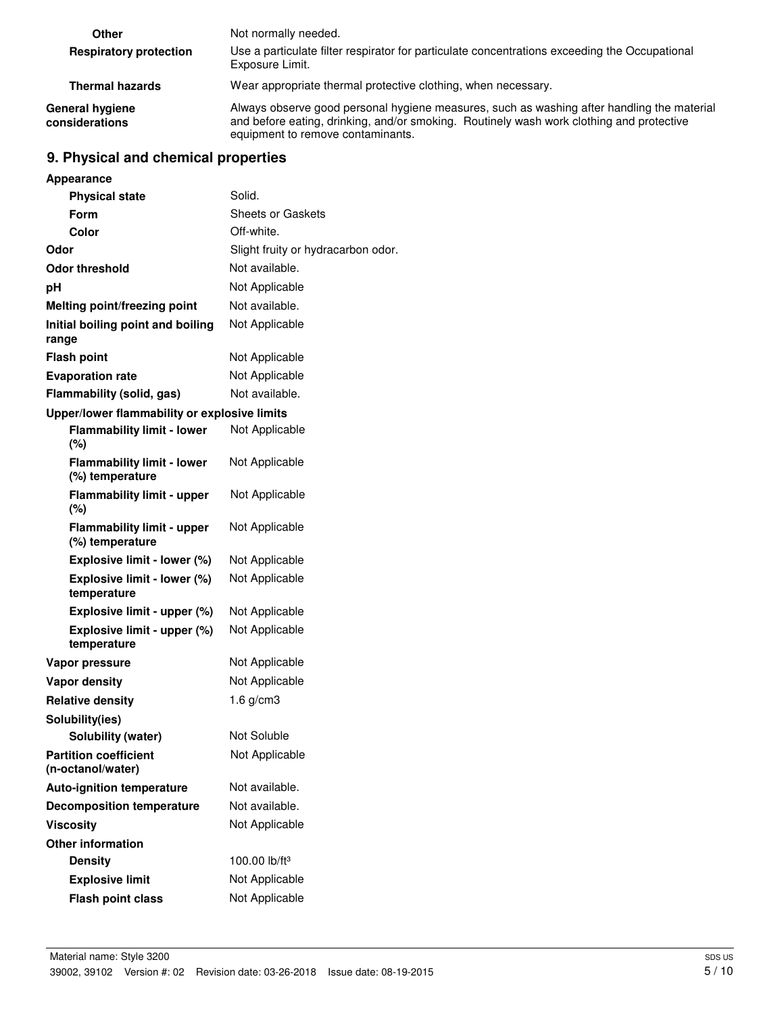| Other                             | Not normally needed.                                                                                                                                                                                                        |
|-----------------------------------|-----------------------------------------------------------------------------------------------------------------------------------------------------------------------------------------------------------------------------|
| <b>Respiratory protection</b>     | Use a particulate filter respirator for particulate concentrations exceeding the Occupational<br>Exposure Limit.                                                                                                            |
| <b>Thermal hazards</b>            | Wear appropriate thermal protective clothing, when necessary.                                                                                                                                                               |
| General hygiene<br>considerations | Always observe good personal hygiene measures, such as washing after handling the material<br>and before eating, drinking, and/or smoking. Routinely wash work clothing and protective<br>equipment to remove contaminants. |

# **9. Physical and chemical properties**

| Appearance                                           |                                    |
|------------------------------------------------------|------------------------------------|
| <b>Physical state</b>                                | Solid.                             |
| Form                                                 | <b>Sheets or Gaskets</b>           |
| Color                                                | Off-white.                         |
| Odor                                                 | Slight fruity or hydracarbon odor. |
| Odor threshold                                       | Not available.                     |
| рH                                                   | Not Applicable                     |
| Melting point/freezing point                         | Not available.                     |
| Initial boiling point and boiling<br>range           | Not Applicable                     |
| <b>Flash point</b>                                   | Not Applicable                     |
| <b>Evaporation rate</b>                              | Not Applicable                     |
| Flammability (solid, gas)                            | Not available.                     |
| Upper/lower flammability or explosive limits         |                                    |
| <b>Flammability limit - lower</b><br>(%)             | Not Applicable                     |
| <b>Flammability limit - lower</b><br>(%) temperature | Not Applicable                     |
| <b>Flammability limit - upper</b><br>$(\%)$          | Not Applicable                     |
| <b>Flammability limit - upper</b><br>(%) temperature | Not Applicable                     |
| Explosive limit - lower (%)                          | Not Applicable                     |
| Explosive limit - lower (%)<br>temperature           | Not Applicable                     |
| Explosive limit - upper (%)                          | Not Applicable                     |
| Explosive limit - upper (%)<br>temperature           | Not Applicable                     |
| Vapor pressure                                       | Not Applicable                     |
| <b>Vapor density</b>                                 | Not Applicable                     |
| <b>Relative density</b>                              | 1.6 $g/cm3$                        |
| Solubility(ies)                                      |                                    |
| Solubility (water)                                   | Not Soluble                        |
| <b>Partition coefficient</b><br>(n-octanol/water)    | Not Applicable                     |
| <b>Auto-ignition temperature</b>                     | Not available.                     |
| <b>Decomposition temperature</b>                     | Not available.                     |
| <b>Viscosity</b>                                     | Not Applicable                     |
| <b>Other information</b>                             |                                    |
| <b>Density</b>                                       | 100.00 lb/ft <sup>3</sup>          |
| <b>Explosive limit</b>                               | Not Applicable                     |
| <b>Flash point class</b>                             | Not Applicable                     |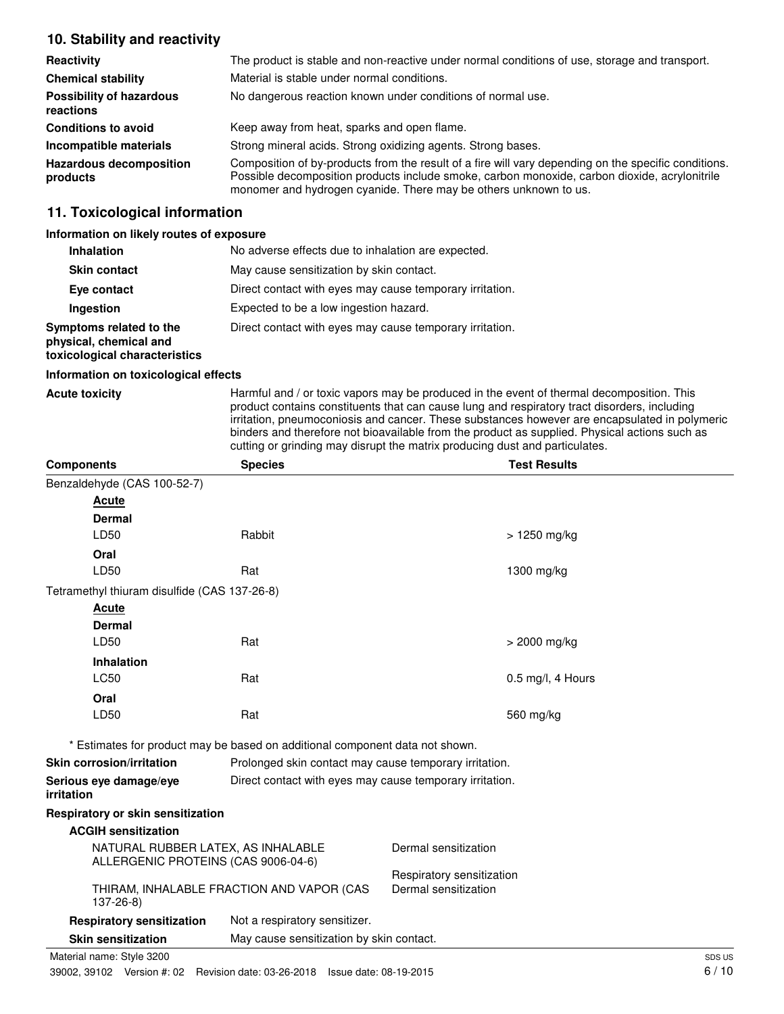# **10. Stability and reactivity**

| Reactivity                                   | The product is stable and non-reactive under normal conditions of use, storage and transport.                                                                                                                                                                             |
|----------------------------------------------|---------------------------------------------------------------------------------------------------------------------------------------------------------------------------------------------------------------------------------------------------------------------------|
| <b>Chemical stability</b>                    | Material is stable under normal conditions.                                                                                                                                                                                                                               |
| <b>Possibility of hazardous</b><br>reactions | No dangerous reaction known under conditions of normal use.                                                                                                                                                                                                               |
| <b>Conditions to avoid</b>                   | Keep away from heat, sparks and open flame.                                                                                                                                                                                                                               |
| Incompatible materials                       | Strong mineral acids. Strong oxidizing agents. Strong bases.                                                                                                                                                                                                              |
| <b>Hazardous decomposition</b><br>products   | Composition of by-products from the result of a fire will vary depending on the specific conditions.<br>Possible decomposition products include smoke, carbon monoxide, carbon dioxide, acrylonitrile<br>monomer and hydrogen cyanide. There may be others unknown to us. |

# **11. Toxicological information**

#### **Information on likely routes of exposure**

| <b>Inhalation</b>                                                                  | No adverse effects due to inhalation are expected.       |
|------------------------------------------------------------------------------------|----------------------------------------------------------|
| <b>Skin contact</b>                                                                | May cause sensitization by skin contact.                 |
| Eye contact                                                                        | Direct contact with eyes may cause temporary irritation. |
| Ingestion                                                                          | Expected to be a low ingestion hazard.                   |
| Symptoms related to the<br>physical, chemical and<br>toxicological characteristics | Direct contact with eyes may cause temporary irritation. |

#### **Information on toxicological effects**

Acute toxicity **Harmful and / or toxic vapors may be produced in the event of thermal decomposition. This** product contains constituents that can cause lung and respiratory tract disorders, including irritation, pneumoconiosis and cancer. These substances however are encapsulated in polymeric binders and therefore not bioavailable from the product as supplied. Physical actions such as cutting or grinding may disrupt the matrix producing dust and particulates.

| <b>Components</b>                                                         | <b>Species</b>                                                               | <b>Test Results</b>                                    |  |  |
|---------------------------------------------------------------------------|------------------------------------------------------------------------------|--------------------------------------------------------|--|--|
| Benzaldehyde (CAS 100-52-7)                                               |                                                                              |                                                        |  |  |
| Acute                                                                     |                                                                              |                                                        |  |  |
| <b>Dermal</b>                                                             |                                                                              |                                                        |  |  |
| LD50                                                                      | Rabbit                                                                       | > 1250 mg/kg                                           |  |  |
| Oral                                                                      |                                                                              |                                                        |  |  |
| LD50                                                                      | Rat                                                                          | 1300 mg/kg                                             |  |  |
| Tetramethyl thiuram disulfide (CAS 137-26-8)                              |                                                                              |                                                        |  |  |
| <b>Acute</b>                                                              |                                                                              |                                                        |  |  |
| <b>Dermal</b>                                                             |                                                                              |                                                        |  |  |
| LD50                                                                      | Rat                                                                          | > 2000 mg/kg                                           |  |  |
| <b>Inhalation</b>                                                         |                                                                              |                                                        |  |  |
| <b>LC50</b>                                                               | Rat                                                                          | 0.5 mg/l, 4 Hours                                      |  |  |
| Oral                                                                      |                                                                              |                                                        |  |  |
| LD50                                                                      | Rat                                                                          | 560 mg/kg                                              |  |  |
|                                                                           | * Estimates for product may be based on additional component data not shown. |                                                        |  |  |
| <b>Skin corrosion/irritation</b>                                          |                                                                              | Prolonged skin contact may cause temporary irritation. |  |  |
| Serious eye damage/eye<br>irritation                                      | Direct contact with eyes may cause temporary irritation.                     |                                                        |  |  |
| Respiratory or skin sensitization                                         |                                                                              |                                                        |  |  |
| <b>ACGIH sensitization</b>                                                |                                                                              |                                                        |  |  |
| NATURAL RUBBER LATEX, AS INHALABLE<br>ALLERGENIC PROTEINS (CAS 9006-04-6) |                                                                              | Dermal sensitization                                   |  |  |
|                                                                           |                                                                              | Respiratory sensitization                              |  |  |
| $137 - 26 - 8$                                                            | THIRAM, INHALABLE FRACTION AND VAPOR (CAS                                    | Dermal sensitization                                   |  |  |
| <b>Respiratory sensitization</b>                                          | Not a respiratory sensitizer.                                                |                                                        |  |  |
| <b>Skin sensitization</b>                                                 | May cause sensitization by skin contact.                                     |                                                        |  |  |
| Material name: Style 3200                                                 |                                                                              | SDS US                                                 |  |  |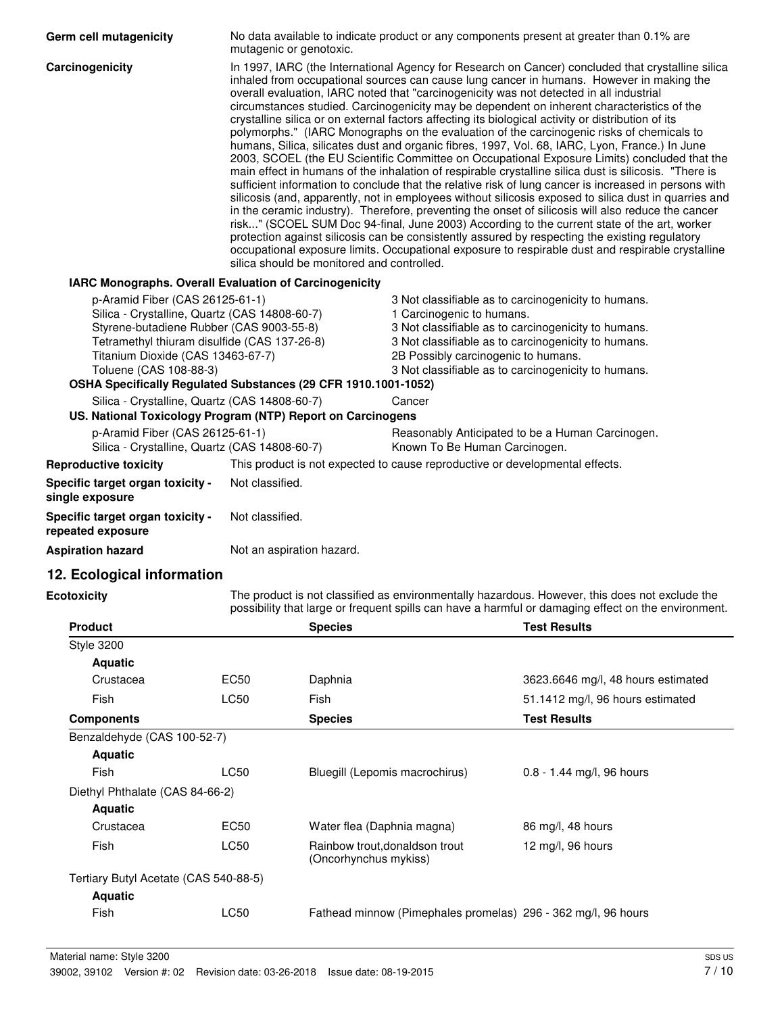| Germ cell mutagenicity                                                                                                                                                                                                                                                                                        | No data available to indicate product or any components present at greater than 0.1% are<br>mutagenic or genotoxic. |                                                                                                                                                                                                                                                                                                                                                                                                                                                                                                                                                                                                                                                                                                                                                                                                                                                                                                                                                                                                                                                                                                                                                                                                                                                                                                                                                                                                                                                                                                                                    |                                                                                                                                                                                                                                                                                              |                                                                                                                                                                                                       |
|---------------------------------------------------------------------------------------------------------------------------------------------------------------------------------------------------------------------------------------------------------------------------------------------------------------|---------------------------------------------------------------------------------------------------------------------|------------------------------------------------------------------------------------------------------------------------------------------------------------------------------------------------------------------------------------------------------------------------------------------------------------------------------------------------------------------------------------------------------------------------------------------------------------------------------------------------------------------------------------------------------------------------------------------------------------------------------------------------------------------------------------------------------------------------------------------------------------------------------------------------------------------------------------------------------------------------------------------------------------------------------------------------------------------------------------------------------------------------------------------------------------------------------------------------------------------------------------------------------------------------------------------------------------------------------------------------------------------------------------------------------------------------------------------------------------------------------------------------------------------------------------------------------------------------------------------------------------------------------------|----------------------------------------------------------------------------------------------------------------------------------------------------------------------------------------------------------------------------------------------------------------------------------------------|-------------------------------------------------------------------------------------------------------------------------------------------------------------------------------------------------------|
| Carcinogenicity                                                                                                                                                                                                                                                                                               | silica should be monitored and controlled.                                                                          | In 1997, IARC (the International Agency for Research on Cancer) concluded that crystalline silica<br>inhaled from occupational sources can cause lung cancer in humans. However in making the<br>overall evaluation, IARC noted that "carcinogenicity was not detected in all industrial<br>circumstances studied. Carcinogenicity may be dependent on inherent characteristics of the<br>crystalline silica or on external factors affecting its biological activity or distribution of its<br>polymorphs." (IARC Monographs on the evaluation of the carcinogenic risks of chemicals to<br>humans, Silica, silicates dust and organic fibres, 1997, Vol. 68, IARC, Lyon, France.) In June<br>2003, SCOEL (the EU Scientific Committee on Occupational Exposure Limits) concluded that the<br>main effect in humans of the inhalation of respirable crystalline silica dust is silicosis. "There is<br>sufficient information to conclude that the relative risk of lung cancer is increased in persons with<br>silicosis (and, apparently, not in employees without silicosis exposed to silica dust in quarries and<br>in the ceramic industry). Therefore, preventing the onset of silicosis will also reduce the cancer<br>risk" (SCOEL SUM Doc 94-final, June 2003) According to the current state of the art, worker<br>protection against silicosis can be consistently assured by respecting the existing regulatory<br>occupational exposure limits. Occupational exposure to respirable dust and respirable crystalline |                                                                                                                                                                                                                                                                                              |                                                                                                                                                                                                       |
| IARC Monographs. Overall Evaluation of Carcinogenicity                                                                                                                                                                                                                                                        |                                                                                                                     |                                                                                                                                                                                                                                                                                                                                                                                                                                                                                                                                                                                                                                                                                                                                                                                                                                                                                                                                                                                                                                                                                                                                                                                                                                                                                                                                                                                                                                                                                                                                    |                                                                                                                                                                                                                                                                                              |                                                                                                                                                                                                       |
| p-Aramid Fiber (CAS 26125-61-1)<br>Silica - Crystalline, Quartz (CAS 14808-60-7)<br>Styrene-butadiene Rubber (CAS 9003-55-8)<br>Tetramethyl thiuram disulfide (CAS 137-26-8)<br>Titanium Dioxide (CAS 13463-67-7)<br>Toluene (CAS 108-88-3)<br>OSHA Specifically Regulated Substances (29 CFR 1910.1001-1052) |                                                                                                                     |                                                                                                                                                                                                                                                                                                                                                                                                                                                                                                                                                                                                                                                                                                                                                                                                                                                                                                                                                                                                                                                                                                                                                                                                                                                                                                                                                                                                                                                                                                                                    | 3 Not classifiable as to carcinogenicity to humans.<br>1 Carcinogenic to humans.<br>3 Not classifiable as to carcinogenicity to humans.<br>3 Not classifiable as to carcinogenicity to humans.<br>2B Possibly carcinogenic to humans.<br>3 Not classifiable as to carcinogenicity to humans. |                                                                                                                                                                                                       |
|                                                                                                                                                                                                                                                                                                               |                                                                                                                     |                                                                                                                                                                                                                                                                                                                                                                                                                                                                                                                                                                                                                                                                                                                                                                                                                                                                                                                                                                                                                                                                                                                                                                                                                                                                                                                                                                                                                                                                                                                                    |                                                                                                                                                                                                                                                                                              |                                                                                                                                                                                                       |
| Silica - Crystalline, Quartz (CAS 14808-60-7)<br>US. National Toxicology Program (NTP) Report on Carcinogens                                                                                                                                                                                                  |                                                                                                                     |                                                                                                                                                                                                                                                                                                                                                                                                                                                                                                                                                                                                                                                                                                                                                                                                                                                                                                                                                                                                                                                                                                                                                                                                                                                                                                                                                                                                                                                                                                                                    | Cancer                                                                                                                                                                                                                                                                                       |                                                                                                                                                                                                       |
| p-Aramid Fiber (CAS 26125-61-1)<br>Silica - Crystalline, Quartz (CAS 14808-60-7)                                                                                                                                                                                                                              |                                                                                                                     |                                                                                                                                                                                                                                                                                                                                                                                                                                                                                                                                                                                                                                                                                                                                                                                                                                                                                                                                                                                                                                                                                                                                                                                                                                                                                                                                                                                                                                                                                                                                    | Known To Be Human Carcinogen.                                                                                                                                                                                                                                                                | Reasonably Anticipated to be a Human Carcinogen.                                                                                                                                                      |
| <b>Reproductive toxicity</b>                                                                                                                                                                                                                                                                                  |                                                                                                                     |                                                                                                                                                                                                                                                                                                                                                                                                                                                                                                                                                                                                                                                                                                                                                                                                                                                                                                                                                                                                                                                                                                                                                                                                                                                                                                                                                                                                                                                                                                                                    | This product is not expected to cause reproductive or developmental effects.                                                                                                                                                                                                                 |                                                                                                                                                                                                       |
| Specific target organ toxicity -<br>single exposure                                                                                                                                                                                                                                                           | Not classified.                                                                                                     |                                                                                                                                                                                                                                                                                                                                                                                                                                                                                                                                                                                                                                                                                                                                                                                                                                                                                                                                                                                                                                                                                                                                                                                                                                                                                                                                                                                                                                                                                                                                    |                                                                                                                                                                                                                                                                                              |                                                                                                                                                                                                       |
| Specific target organ toxicity -<br>repeated exposure                                                                                                                                                                                                                                                         | Not classified.                                                                                                     |                                                                                                                                                                                                                                                                                                                                                                                                                                                                                                                                                                                                                                                                                                                                                                                                                                                                                                                                                                                                                                                                                                                                                                                                                                                                                                                                                                                                                                                                                                                                    |                                                                                                                                                                                                                                                                                              |                                                                                                                                                                                                       |
| <b>Aspiration hazard</b>                                                                                                                                                                                                                                                                                      | Not an aspiration hazard.                                                                                           |                                                                                                                                                                                                                                                                                                                                                                                                                                                                                                                                                                                                                                                                                                                                                                                                                                                                                                                                                                                                                                                                                                                                                                                                                                                                                                                                                                                                                                                                                                                                    |                                                                                                                                                                                                                                                                                              |                                                                                                                                                                                                       |
| 12. Ecological information                                                                                                                                                                                                                                                                                    |                                                                                                                     |                                                                                                                                                                                                                                                                                                                                                                                                                                                                                                                                                                                                                                                                                                                                                                                                                                                                                                                                                                                                                                                                                                                                                                                                                                                                                                                                                                                                                                                                                                                                    |                                                                                                                                                                                                                                                                                              |                                                                                                                                                                                                       |
| <b>Ecotoxicity</b>                                                                                                                                                                                                                                                                                            |                                                                                                                     |                                                                                                                                                                                                                                                                                                                                                                                                                                                                                                                                                                                                                                                                                                                                                                                                                                                                                                                                                                                                                                                                                                                                                                                                                                                                                                                                                                                                                                                                                                                                    |                                                                                                                                                                                                                                                                                              | The product is not classified as environmentally hazardous. However, this does not exclude the<br>possibility that large or frequent spills can have a harmful or damaging effect on the environment. |
| <b>Product</b>                                                                                                                                                                                                                                                                                                |                                                                                                                     | <b>Species</b>                                                                                                                                                                                                                                                                                                                                                                                                                                                                                                                                                                                                                                                                                                                                                                                                                                                                                                                                                                                                                                                                                                                                                                                                                                                                                                                                                                                                                                                                                                                     |                                                                                                                                                                                                                                                                                              | <b>Test Results</b>                                                                                                                                                                                   |
| <b>Style 3200</b>                                                                                                                                                                                                                                                                                             |                                                                                                                     |                                                                                                                                                                                                                                                                                                                                                                                                                                                                                                                                                                                                                                                                                                                                                                                                                                                                                                                                                                                                                                                                                                                                                                                                                                                                                                                                                                                                                                                                                                                                    |                                                                                                                                                                                                                                                                                              |                                                                                                                                                                                                       |
| <b>Aquatic</b>                                                                                                                                                                                                                                                                                                |                                                                                                                     |                                                                                                                                                                                                                                                                                                                                                                                                                                                                                                                                                                                                                                                                                                                                                                                                                                                                                                                                                                                                                                                                                                                                                                                                                                                                                                                                                                                                                                                                                                                                    |                                                                                                                                                                                                                                                                                              |                                                                                                                                                                                                       |
| Crustacea                                                                                                                                                                                                                                                                                                     | <b>EC50</b>                                                                                                         | Daphnia                                                                                                                                                                                                                                                                                                                                                                                                                                                                                                                                                                                                                                                                                                                                                                                                                                                                                                                                                                                                                                                                                                                                                                                                                                                                                                                                                                                                                                                                                                                            |                                                                                                                                                                                                                                                                                              | 3623.6646 mg/l, 48 hours estimated                                                                                                                                                                    |
| Fish                                                                                                                                                                                                                                                                                                          | LC50                                                                                                                | Fish                                                                                                                                                                                                                                                                                                                                                                                                                                                                                                                                                                                                                                                                                                                                                                                                                                                                                                                                                                                                                                                                                                                                                                                                                                                                                                                                                                                                                                                                                                                               |                                                                                                                                                                                                                                                                                              | 51.1412 mg/l, 96 hours estimated                                                                                                                                                                      |
| <b>Components</b>                                                                                                                                                                                                                                                                                             |                                                                                                                     | <b>Species</b>                                                                                                                                                                                                                                                                                                                                                                                                                                                                                                                                                                                                                                                                                                                                                                                                                                                                                                                                                                                                                                                                                                                                                                                                                                                                                                                                                                                                                                                                                                                     |                                                                                                                                                                                                                                                                                              | <b>Test Results</b>                                                                                                                                                                                   |
| Benzaldehyde (CAS 100-52-7)                                                                                                                                                                                                                                                                                   |                                                                                                                     |                                                                                                                                                                                                                                                                                                                                                                                                                                                                                                                                                                                                                                                                                                                                                                                                                                                                                                                                                                                                                                                                                                                                                                                                                                                                                                                                                                                                                                                                                                                                    |                                                                                                                                                                                                                                                                                              |                                                                                                                                                                                                       |
| <b>Aquatic</b>                                                                                                                                                                                                                                                                                                |                                                                                                                     |                                                                                                                                                                                                                                                                                                                                                                                                                                                                                                                                                                                                                                                                                                                                                                                                                                                                                                                                                                                                                                                                                                                                                                                                                                                                                                                                                                                                                                                                                                                                    |                                                                                                                                                                                                                                                                                              |                                                                                                                                                                                                       |
| Fish                                                                                                                                                                                                                                                                                                          | LC50                                                                                                                | Bluegill (Lepomis macrochirus)                                                                                                                                                                                                                                                                                                                                                                                                                                                                                                                                                                                                                                                                                                                                                                                                                                                                                                                                                                                                                                                                                                                                                                                                                                                                                                                                                                                                                                                                                                     |                                                                                                                                                                                                                                                                                              | 0.8 - 1.44 mg/l, 96 hours                                                                                                                                                                             |
| Diethyl Phthalate (CAS 84-66-2)                                                                                                                                                                                                                                                                               |                                                                                                                     |                                                                                                                                                                                                                                                                                                                                                                                                                                                                                                                                                                                                                                                                                                                                                                                                                                                                                                                                                                                                                                                                                                                                                                                                                                                                                                                                                                                                                                                                                                                                    |                                                                                                                                                                                                                                                                                              |                                                                                                                                                                                                       |
| <b>Aquatic</b>                                                                                                                                                                                                                                                                                                |                                                                                                                     |                                                                                                                                                                                                                                                                                                                                                                                                                                                                                                                                                                                                                                                                                                                                                                                                                                                                                                                                                                                                                                                                                                                                                                                                                                                                                                                                                                                                                                                                                                                                    |                                                                                                                                                                                                                                                                                              |                                                                                                                                                                                                       |
| Crustacea                                                                                                                                                                                                                                                                                                     | <b>EC50</b>                                                                                                         | Water flea (Daphnia magna)                                                                                                                                                                                                                                                                                                                                                                                                                                                                                                                                                                                                                                                                                                                                                                                                                                                                                                                                                                                                                                                                                                                                                                                                                                                                                                                                                                                                                                                                                                         |                                                                                                                                                                                                                                                                                              | 86 mg/l, 48 hours                                                                                                                                                                                     |
| Fish                                                                                                                                                                                                                                                                                                          | LC50                                                                                                                | Rainbow trout, donaldson trout<br>(Oncorhynchus mykiss)                                                                                                                                                                                                                                                                                                                                                                                                                                                                                                                                                                                                                                                                                                                                                                                                                                                                                                                                                                                                                                                                                                                                                                                                                                                                                                                                                                                                                                                                            |                                                                                                                                                                                                                                                                                              | 12 mg/l, 96 hours                                                                                                                                                                                     |

Tertiary Butyl Acetate (CAS 540-88-5)

**Aquatic**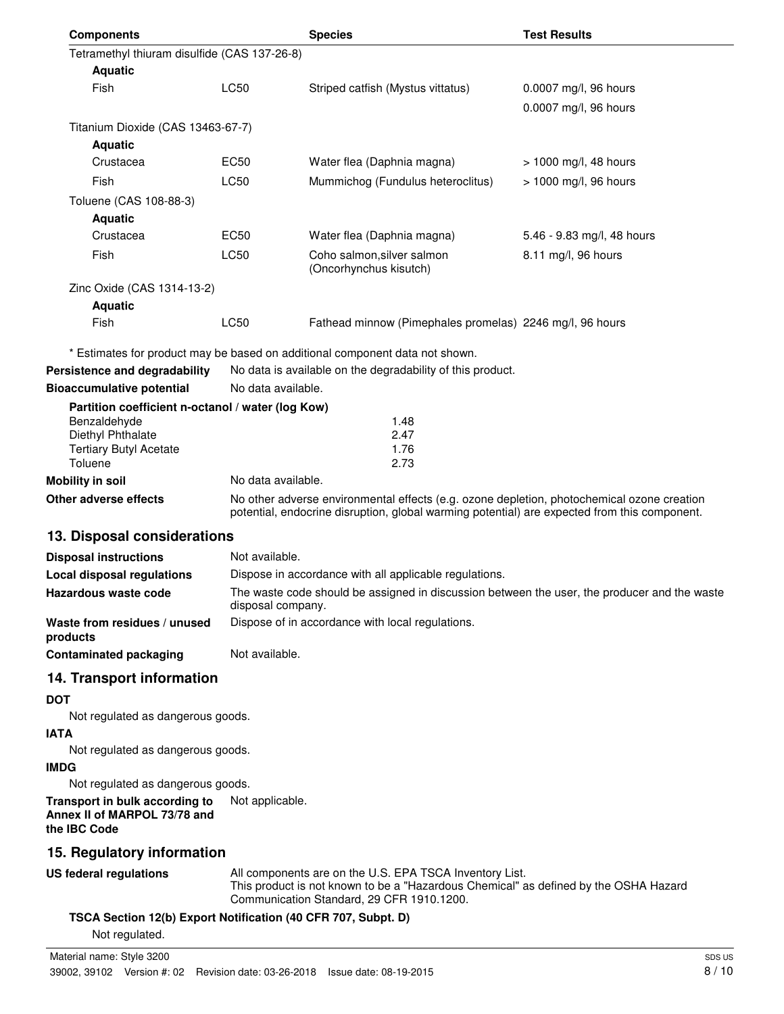| <b>Components</b>                                 |                    | <b>Species</b>                                                               | <b>Test Results</b>        |  |
|---------------------------------------------------|--------------------|------------------------------------------------------------------------------|----------------------------|--|
| Tetramethyl thiuram disulfide (CAS 137-26-8)      |                    |                                                                              |                            |  |
| <b>Aquatic</b>                                    |                    |                                                                              |                            |  |
| Fish                                              | <b>LC50</b>        | Striped catfish (Mystus vittatus)                                            | 0.0007 mg/l, 96 hours      |  |
|                                                   |                    |                                                                              | 0.0007 mg/l, 96 hours      |  |
| Titanium Dioxide (CAS 13463-67-7)                 |                    |                                                                              |                            |  |
| <b>Aquatic</b>                                    |                    |                                                                              |                            |  |
| Crustacea                                         | <b>EC50</b>        | Water flea (Daphnia magna)                                                   | $> 1000$ mg/l, 48 hours    |  |
| Fish                                              | <b>LC50</b>        | Mummichog (Fundulus heteroclitus)                                            | > 1000 mg/l, 96 hours      |  |
| Toluene (CAS 108-88-3)                            |                    |                                                                              |                            |  |
| <b>Aquatic</b>                                    |                    |                                                                              |                            |  |
| Crustacea                                         | EC50               | Water flea (Daphnia magna)                                                   | 5.46 - 9.83 mg/l, 48 hours |  |
| Fish                                              | <b>LC50</b>        | Coho salmon, silver salmon<br>(Oncorhynchus kisutch)                         | 8.11 mg/l, 96 hours        |  |
| Zinc Oxide (CAS 1314-13-2)                        |                    |                                                                              |                            |  |
| <b>Aquatic</b>                                    |                    |                                                                              |                            |  |
| Fish                                              | <b>LC50</b>        | Fathead minnow (Pimephales promelas) 2246 mg/l, 96 hours                     |                            |  |
|                                                   |                    | * Estimates for product may be based on additional component data not shown. |                            |  |
| Persistence and degradability                     |                    | No data is available on the degradability of this product.                   |                            |  |
| <b>Bioaccumulative potential</b>                  |                    | No data available.                                                           |                            |  |
| Partition coefficient n-octanol / water (log Kow) |                    |                                                                              |                            |  |
| Benzaldehyde                                      |                    | 1.48                                                                         |                            |  |
| Diethyl Phthalate                                 |                    | 2.47                                                                         |                            |  |
| <b>Tertiary Butyl Acetate</b><br>Toluene          |                    | 1.76<br>2.73                                                                 |                            |  |
| <b>Mobility in soil</b>                           | No data available. |                                                                              |                            |  |
|                                                   |                    | $\mathbf{r}$ and $\mathbf{r}$ and $\mathbf{r}$                               | .                          |  |

**Other adverse effects** No other adverse environmental effects (e.g. ozone depletion, photochemical ozone creation potential, endocrine disruption, global warming potential) are expected from this component.

# **13. Disposal considerations**

| <b>Disposal instructions</b>             | Not available.                                                                                                    |
|------------------------------------------|-------------------------------------------------------------------------------------------------------------------|
| Local disposal regulations               | Dispose in accordance with all applicable regulations.                                                            |
| Hazardous waste code                     | The waste code should be assigned in discussion between the user, the producer and the waste<br>disposal company. |
| Waste from residues / unused<br>products | Dispose of in accordance with local regulations.                                                                  |
| <b>Contaminated packaging</b>            | Not available.                                                                                                    |

# **14. Transport information**

#### **DOT**

Not regulated as dangerous goods.

# **IATA**

Not regulated as dangerous goods.

## **IMDG**

Not regulated as dangerous goods.

#### **Transport in bulk according to** Not applicable. **Annex II of MARPOL 73/78 and the IBC Code**

# **15. Regulatory information**

**US federal regulations**

All components are on the U.S. EPA TSCA Inventory List. This product is not known to be a "Hazardous Chemical" as defined by the OSHA Hazard Communication Standard, 29 CFR 1910.1200.

## **TSCA Section 12(b) Export Notification (40 CFR 707, Subpt. D)**

Not regulated.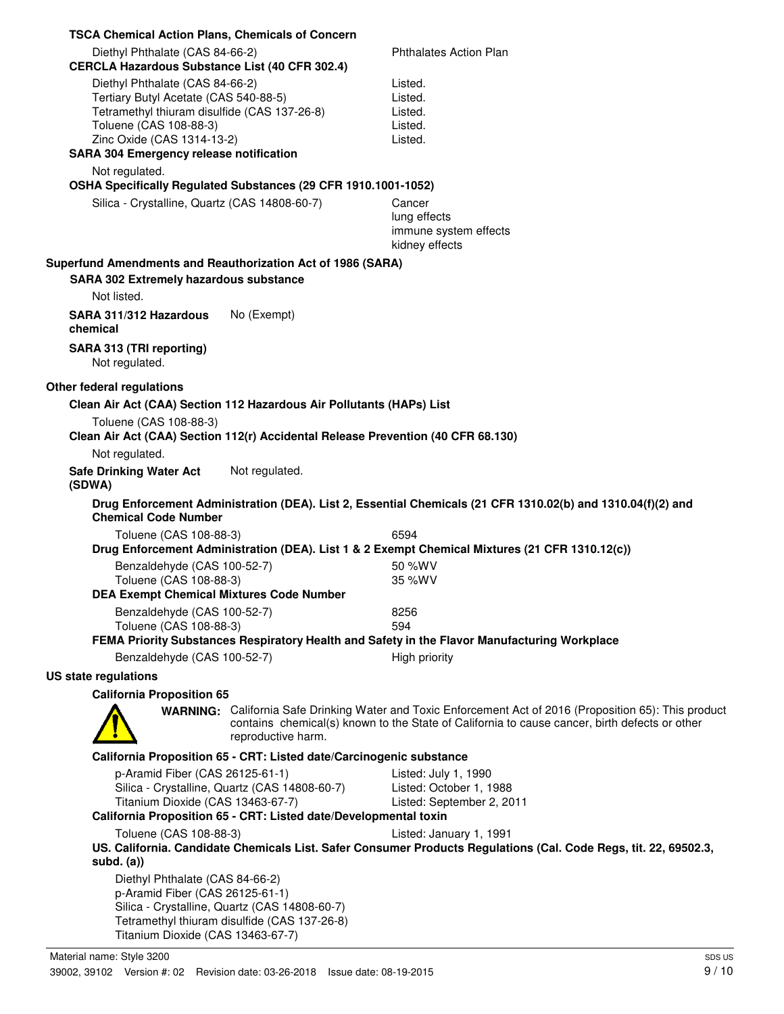| <b>TSCA Chemical Action Plans, Chemicals of Concern</b>                                                                                                                                                                            |                                                                     |                                                                                                                                                                                                           |
|------------------------------------------------------------------------------------------------------------------------------------------------------------------------------------------------------------------------------------|---------------------------------------------------------------------|-----------------------------------------------------------------------------------------------------------------------------------------------------------------------------------------------------------|
| Diethyl Phthalate (CAS 84-66-2)<br><b>CERCLA Hazardous Substance List (40 CFR 302.4)</b>                                                                                                                                           |                                                                     | <b>Phthalates Action Plan</b>                                                                                                                                                                             |
| Diethyl Phthalate (CAS 84-66-2)<br>Tertiary Butyl Acetate (CAS 540-88-5)<br>Tetramethyl thiuram disulfide (CAS 137-26-8)<br>Toluene (CAS 108-88-3)<br>Zinc Oxide (CAS 1314-13-2)<br><b>SARA 304 Emergency release notification</b> |                                                                     | Listed.<br>Listed.<br>Listed.<br>Listed.<br>Listed.                                                                                                                                                       |
| Not regulated.                                                                                                                                                                                                                     |                                                                     |                                                                                                                                                                                                           |
| OSHA Specifically Regulated Substances (29 CFR 1910.1001-1052)                                                                                                                                                                     |                                                                     |                                                                                                                                                                                                           |
| Silica - Crystalline, Quartz (CAS 14808-60-7)                                                                                                                                                                                      |                                                                     | Cancer<br>lung effects<br>immune system effects<br>kidney effects                                                                                                                                         |
| Superfund Amendments and Reauthorization Act of 1986 (SARA)                                                                                                                                                                        |                                                                     |                                                                                                                                                                                                           |
| <b>SARA 302 Extremely hazardous substance</b><br>Not listed.                                                                                                                                                                       |                                                                     |                                                                                                                                                                                                           |
| SARA 311/312 Hazardous<br>chemical                                                                                                                                                                                                 | No (Exempt)                                                         |                                                                                                                                                                                                           |
| SARA 313 (TRI reporting)<br>Not regulated.                                                                                                                                                                                         |                                                                     |                                                                                                                                                                                                           |
| Other federal regulations                                                                                                                                                                                                          |                                                                     |                                                                                                                                                                                                           |
| Clean Air Act (CAA) Section 112 Hazardous Air Pollutants (HAPs) List                                                                                                                                                               |                                                                     |                                                                                                                                                                                                           |
| Toluene (CAS 108-88-3)<br>Clean Air Act (CAA) Section 112(r) Accidental Release Prevention (40 CFR 68.130)                                                                                                                         |                                                                     |                                                                                                                                                                                                           |
| Not regulated.<br><b>Safe Drinking Water Act</b><br>(SDWA)                                                                                                                                                                         | Not regulated.                                                      |                                                                                                                                                                                                           |
| <b>Chemical Code Number</b>                                                                                                                                                                                                        |                                                                     | Drug Enforcement Administration (DEA). List 2, Essential Chemicals (21 CFR 1310.02(b) and 1310.04(f)(2) and                                                                                               |
| Toluene (CAS 108-88-3)                                                                                                                                                                                                             |                                                                     | 6594                                                                                                                                                                                                      |
|                                                                                                                                                                                                                                    |                                                                     | Drug Enforcement Administration (DEA). List 1 & 2 Exempt Chemical Mixtures (21 CFR 1310.12(c))                                                                                                            |
| Benzaldehyde (CAS 100-52-7)<br>Toluene (CAS 108-88-3)                                                                                                                                                                              |                                                                     | 50 %WV<br>35 %WV                                                                                                                                                                                          |
| <b>DEA Exempt Chemical Mixtures Code Number</b>                                                                                                                                                                                    |                                                                     |                                                                                                                                                                                                           |
| Benzaldehyde (CAS 100-52-7)<br>Toluene (CAS 108-88-3)                                                                                                                                                                              |                                                                     | 8256<br>594                                                                                                                                                                                               |
|                                                                                                                                                                                                                                    |                                                                     | FEMA Priority Substances Respiratory Health and Safety in the Flavor Manufacturing Workplace                                                                                                              |
| Benzaldehyde (CAS 100-52-7)                                                                                                                                                                                                        |                                                                     | High priority                                                                                                                                                                                             |
| <b>US state regulations</b>                                                                                                                                                                                                        |                                                                     |                                                                                                                                                                                                           |
| <b>California Proposition 65</b>                                                                                                                                                                                                   |                                                                     |                                                                                                                                                                                                           |
|                                                                                                                                                                                                                                    | reproductive harm.                                                  | WARNING: California Safe Drinking Water and Toxic Enforcement Act of 2016 (Proposition 65): This product<br>contains chemical(s) known to the State of California to cause cancer, birth defects or other |
|                                                                                                                                                                                                                                    | California Proposition 65 - CRT: Listed date/Carcinogenic substance |                                                                                                                                                                                                           |
| p-Aramid Fiber (CAS 26125-61-1)<br>Silica - Crystalline, Quartz (CAS 14808-60-7)<br>Titanium Dioxide (CAS 13463-67-7)                                                                                                              |                                                                     | Listed: July 1, 1990<br>Listed: October 1, 1988<br>Listed: September 2, 2011                                                                                                                              |
|                                                                                                                                                                                                                                    | California Proposition 65 - CRT: Listed date/Developmental toxin    |                                                                                                                                                                                                           |
| Toluene (CAS 108-88-3)                                                                                                                                                                                                             |                                                                     | Listed: January 1, 1991<br>US. California. Candidate Chemicals List. Safer Consumer Products Regulations (Cal. Code Regs, tit. 22, 69502.3,                                                               |
| $subd.$ $(a))$<br>Diethyl Phthalate (CAS 84-66-2)<br>p-Aramid Fiber (CAS 26125-61-1)<br>Silica - Crystalline, Quartz (CAS 14808-60-7)<br>Tetramethyl thiuram disulfide (CAS 137-26-8)<br>Titanium Dioxide (CAS 13463-67-7)         |                                                                     |                                                                                                                                                                                                           |